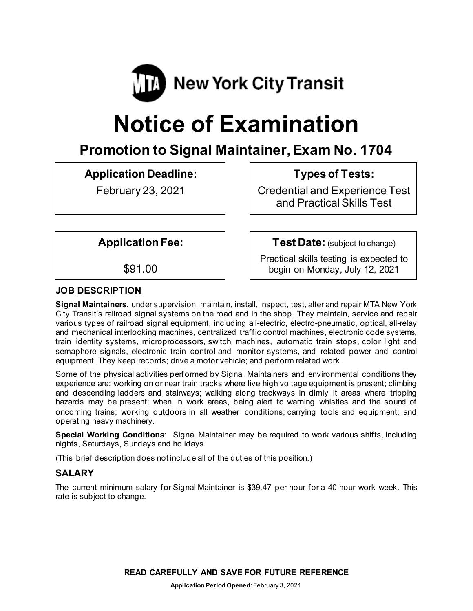

# **Notice of Examination**

# **Promotion to Signal Maintainer, Exam No. 1704**

**Application Deadline:**

February 23, 2021

**Types of Tests:** 

Credential and Experience Test and Practical Skills Test

**Application Fee:**

\$91.00

**Test Date:** (subject to change)

Practical skills testing is expected to begin on Monday, July 12, 2021

# **JOB DESCRIPTION**

**Signal Maintainers,** under supervision, maintain, install, inspect, test, alter and repair MTA New York City Transit's railroad signal systems on the road and in the shop. They maintain, service and repair various types of railroad signal equipment, including all-electric, electro-pneumatic, optical, all-relay and mechanical interlocking machines, centralized traffic control machines, electronic code systems, train identity systems, microprocessors, switch machines, automatic train stops, color light and semaphore signals, electronic train control and monitor systems, and related power and control equipment. They keep records; drive a motor vehicle; and perform related work.

Some of the physical activities performed by Signal Maintainers and environmental conditions they experience are: working on or near train tracks where live high voltage equipment is present; climbing and descending ladders and stairways; walking along trackways in dimly lit areas where tripping hazards may be present; when in work areas, being alert to warning whistles and the sound of oncoming trains; working outdoors in all weather conditions; carrying tools and equipment; and operating heavy machinery.

**Special Working Conditions**: Signal Maintainer may be required to work various shifts, including nights, Saturdays, Sundays and holidays.

(This brief description does not include all of the duties of this position.)

# **SALARY**

The current minimum salary for Signal Maintainer is \$39.47 per hour for a 40-hour work week. This rate is subject to change.

**READ CAREFULLY AND SAVE FOR FUTURE REFERENCE**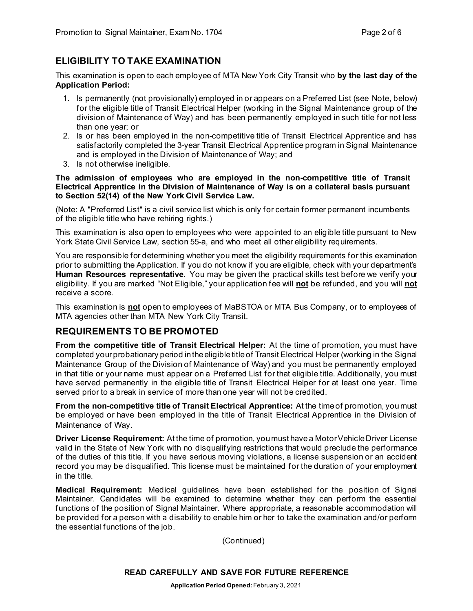# **ELIGIBILITY TO TAKE EXAMINATION**

This examination is open to each employee of MTA New York City Transit who **by the last day of the Application Period:**

- 1. Is permanently (not provisionally) employed in or appears on a Preferred List (see Note, below) for the eligible title of Transit Electrical Helper (working in the Signal Maintenance group of the division of Maintenance of Way) and has been permanently employed in such title for not less than one year; or
- 2. Is or has been employed in the non-competitive title of Transit Electrical Apprentice and has satisfactorily completed the 3-year Transit Electrical Apprentice program in Signal Maintenance and is employed in the Division of Maintenance of Way; and
- 3. Is not otherwise ineligible.

#### **The admission of employees who are employed in the non-competitive title of Transit Electrical Apprentice in the Division of Maintenance of Way is on a collateral basis pursuant to Section 52(14) of the New York Civil Service Law.**

(Note: A "Preferred List" is a civil service list which is only for certain former permanent incumbents of the eligible title who have rehiring rights.)

This examination is also open to employees who were appointed to an eligible title pursuant to New York State Civil Service Law, section 55-a, and who meet all other eligibility requirements.

You are responsible for determining whether you meet the eligibility requirements for this examination prior to submitting the Application. If you do not know if you are eligible, check with your department's **Human Resources representative**. You may be given the practical skills test before we verify your eligibility. If you are marked "Not Eligible," your application fee will **not** be refunded, and you will **not** receive a score.

This examination is **not** open to employees of MaBSTOA or MTA Bus Company, or to employees of MTA agencies other than MTA New York City Transit.

#### **REQUIREMENTS TO BE PROMOTED**

**From the competitive title of Transit Electrical Helper:** At the time of promotion, you must have completed your probationary period in the eligible title of Transit Electrical Helper (working in the Signal Maintenance Group of the Division of Maintenance of Way) and you must be permanently employed in that title or your name must appear on a Preferred List for that eligible title. Additionally, you must have served permanently in the eligible title of Transit Electrical Helper for at least one year. Time served prior to a break in service of more than one year will not be credited.

**From the non-competitive title of Transit Electrical Apprentice:** At the time of promotion, you must be employed or have been employed in the title of Transit Electrical Apprentice in the Division of Maintenance of Way.

**Driver License Requirement:** At the time of promotion, you must have a Motor Vehicle Driver License valid in the State of New York with no disqualifying restrictions that would preclude the performance of the duties of this title. If you have serious moving violations, a license suspension or an accident record you may be disqualified. This license must be maintained for the duration of your employment in the title.

**Medical Requirement:** Medical guidelines have been established for the position of Signal Maintainer. Candidates will be examined to determine whether they can perform the essential functions of the position of Signal Maintainer. Where appropriate, a reasonable accommodation will be provided for a person with a disability to enable him or her to take the examination and/or perform the essential functions of the job.

(Continued)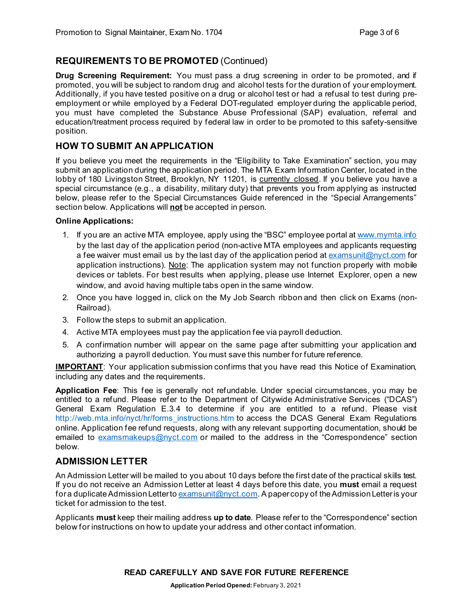#### **REQUIREMENTS TO BE PROMOTED** (Continued)

**Drug Screening Requirement:** You must pass a drug screening in order to be promoted, and if promoted, you will be subject to random drug and alcohol tests for the duration of your employment. Additionally, if you have tested positive on a drug or alcohol test or had a refusal to test during preemployment or while employed by a Federal DOT-regulated employer during the applicable period, you must have completed the Substance Abuse Professional (SAP) evaluation, referral and education/treatment process required by federal law in order to be promoted to this safety-sensitive position.

# **HOW TO SUBMIT AN APPLICATION**

If you believe you meet the requirements in the "Eligibility to Take Examination" section, you may submit an application during the application period. The MTA Exam Information Center, located in the lobby of 180 Livingston Street, Brooklyn, NY 11201, is currently closed. If you believe you have a special circumstance (e.g., a disability, military duty) that prevents you from applying as instructed below, please refer to the Special Circumstances Guide referenced in the "Special Arrangements" section below. Applications will **not** be accepted in person.

#### **Online Applications:**

- 1. If you are an active MTA employee, apply using the "BSC" employee portal at [www.mymta.info](http://www.mymta.info/) by the last day of the application period (non-active MTA employees and applicants requesting a fee waiver must email us by the last day of the application period a[t examsunit@nyct.com](mailto:examsunit@nyct.com) for application instructions). Note: The application system may not function properly with mobile devices or tablets. For best results when applying, please use Internet Explorer, open a new window, and avoid having multiple tabs open in the same window.
- 2. Once you have logged in, click on the My Job Search ribbon and then click on Exams (non-Railroad).
- 3. Follow the steps to submit an application.
- 4. Active MTA employees must pay the application fee via payroll deduction.
- 5. A confirmation number will appear on the same page after submitting your application and authorizing a payroll deduction. You must save this number for future reference.

**IMPORTANT**: Your application submission confirms that you have read this Notice of Examination, including any dates and the requirements.

**Application Fee**: This fee is generally not refundable. Under special circumstances, you may be entitled to a refund. Please refer to the Department of Citywide Administrative Services ("DCAS") General Exam Regulation E.3.4 to determine if you are entitled to a refund. Please visit [http://web.mta.info/nyct/hr/forms\\_instructions.htm](http://web.mta.info/nyct/hr/forms_instructions.htm) to access the DCAS General Exam Regulations online. Application fee refund requests, along with any relevant supporting documentation, should be emailed to [examsmakeups@nyct.com](mailto:examsmakeups@nyct.com) or mailed to the address in the "Correspondence" section below.

# **ADMISSION LETTER**

An Admission Letter will be mailed to you about 10 days before the first date of the practical skills test. If you do not receive an Admission Letter at least 4 days before this date, you **must** email a request for a duplicate Admission Letter to [examsunit@nyct.com.](mailto:examsunit@nyct.com) A paper copy of the Admission Letter is your ticket for admission to the test.

Applicants **must** keep their mailing address **up to date**. Please refer to the "Correspondence" section below for instructions on how to update your address and other contact information.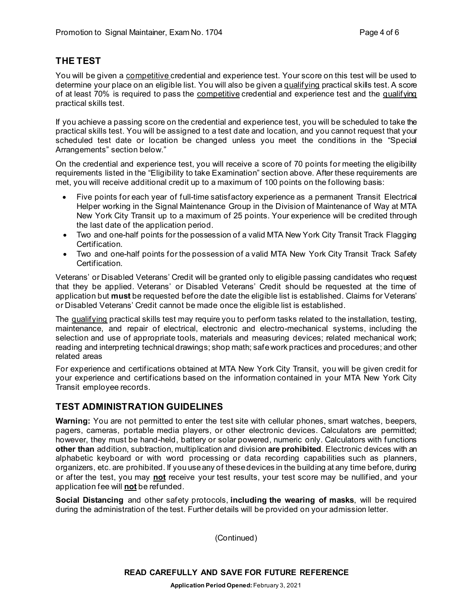# **THE TEST**

You will be given a competitive credential and experience test. Your score on this test will be used to determine your place on an eligible list. You will also be given a qualifying practical skills test. A score of at least 70% is required to pass the competitive credential and experience test and the qualifying practical skills test.

If you achieve a passing score on the credential and experience test, you will be scheduled to take the practical skills test. You will be assigned to a test date and location, and you cannot request that your scheduled test date or location be changed unless you meet the conditions in the "Special Arrangements" section below."

On the credential and experience test, you will receive a score of 70 points for meeting the eligibility requirements listed in the "Eligibility to take Examination" section above. After these requirements are met, you will receive additional credit up to a maximum of 100 points on the following basis:

- Five points for each year of full-time satisfactory experience as a permanent Transit Electrical Helper working in the Signal Maintenance Group in the Division of Maintenance of Way at MTA New York City Transit up to a maximum of 25 points. Your experience will be credited through the last date of the application period.
- Two and one-half points for the possession of a valid MTA New York City Transit Track Flagging Certification.
- Two and one-half points for the possession of a valid MTA New York City Transit Track Safety Certification.

Veterans' or Disabled Veterans' Credit will be granted only to eligible passing candidates who request that they be applied. Veterans' or Disabled Veterans' Credit should be requested at the time of application but **must** be requested before the date the eligible list is established. Claims for Veterans' or Disabled Veterans' Credit cannot be made once the eligible list is established.

The qualifying practical skills test may require you to perform tasks related to the installation, testing, maintenance, and repair of electrical, electronic and electro-mechanical systems, including the selection and use of appropriate tools, materials and measuring devices; related mechanical work; reading and interpreting technical drawings; shop math; safe work practices and procedures; and other related areas

For experience and certifications obtained at MTA New York City Transit, you will be given credit for your experience and certifications based on the information contained in your MTA New York City Transit employee records.

#### **TEST ADMINISTRATION GUIDELINES**

**Warning:** You are not permitted to enter the test site with cellular phones, smart watches, beepers, pagers, cameras, portable media players, or other electronic devices. Calculators are permitted; however, they must be hand-held, battery or solar powered, numeric only. Calculators with functions **other than** addition, subtraction, multiplication and division **are prohibited**. Electronic devices with an alphabetic keyboard or with word processing or data recording capabilities such as planners, organizers, etc. are prohibited. If you use any of these devices in the building at any time before, during or after the test, you may **not** receive your test results, your test score may be nullified, and your application fee will **not** be refunded.

**Social Distancing** and other safety protocols, **including the wearing of masks**, will be required during the administration of the test. Further details will be provided on your admission letter.

(Continued)

**READ CAREFULLY AND SAVE FOR FUTURE REFERENCE**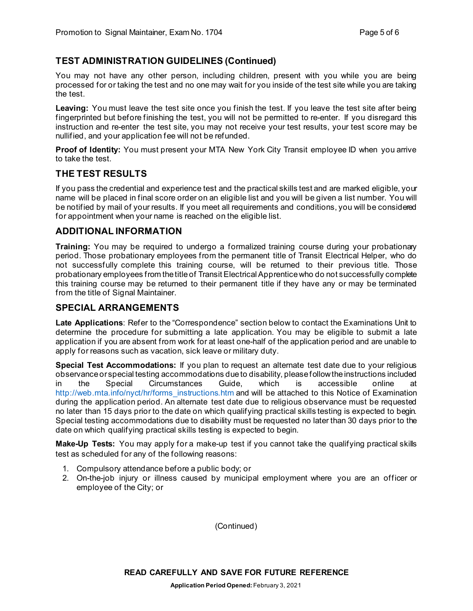# **TEST ADMINISTRATION GUIDELINES (Continued)**

You may not have any other person, including children, present with you while you are being processed for or taking the test and no one may wait for you inside of the test site while you are taking the test.

Leaving: You must leave the test site once you finish the test. If you leave the test site after being fingerprinted but before finishing the test, you will not be permitted to re-enter. If you disregard this instruction and re-enter the test site, you may not receive your test results, your test score may be nullified, and your application fee will not be refunded.

**Proof of Identity:** You must present your MTA New York City Transit employee ID when you arrive to take the test.

#### **THE TEST RESULTS**

If you pass the credential and experience test and the practical skills test and are marked eligible, your name will be placed in final score order on an eligible list and you will be given a list number. You will be notified by mail of your results. If you meet all requirements and conditions, you will be considered for appointment when your name is reached on the eligible list.

#### **ADDITIONAL INFORMATION**

**Training:** You may be required to undergo a formalized training course during your probationary period. Those probationary employees from the permanent title of Transit Electrical Helper, who do not successfully complete this training course, will be returned to their previous title. Those probationary employees from the title of Transit Electrical Apprentice who do not successfully complete this training course may be returned to their permanent title if they have any or may be terminated from the title of Signal Maintainer.

#### **SPECIAL ARRANGEMENTS**

**Late Applications**: Refer to the "Correspondence" section below to contact the Examinations Unit to determine the procedure for submitting a late application. You may be eligible to submit a late application if you are absent from work for at least one-half of the application period and are unable to apply for reasons such as vacation, sick leave or military duty.

**Special Test Accommodations:** If you plan to request an alternate test date due to your religious observance or special testing accommodations due to disability, please follow the instructions included<br>in the Special Circumstances Guide, which is accessible online at in the Special Circumstances Guide, which is accessible online at [http://web.mta.info/nyct/hr/forms\\_instructions.htm](http://web.mta.info/nyct/hr/forms_instructions.htm) and will be attached to this Notice of Examination during the application period. An alternate test date due to religious observance must be requested no later than 15 days prior to the date on which qualifying practical skills testing is expected to begin. Special testing accommodations due to disability must be requested no later than 30 days prior to the date on which qualifying practical skills testing is expected to begin.

**Make-Up Tests:** You may apply for a make-up test if you cannot take the qualifying practical skills test as scheduled for any of the following reasons:

- 1. Compulsory attendance before a public body; or
- 2. On-the-job injury or illness caused by municipal employment where you are an officer or employee of the City; or

(Continued)

**READ CAREFULLY AND SAVE FOR FUTURE REFERENCE**